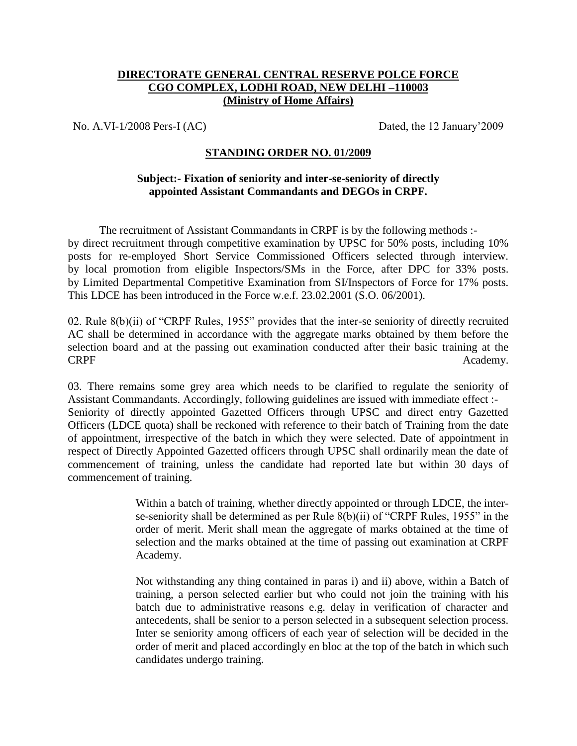## **DIRECTORATE GENERAL CENTRAL RESERVE POLCE FORCE CGO COMPLEX, LODHI ROAD, NEW DELHI –110003 (Ministry of Home Affairs)**

No. A.VI-1/2008 Pers-I (AC) Dated, the 12 January'2009

## **STANDING ORDER NO. 01/2009**

## **Subject:- Fixation of seniority and inter-se-seniority of directly appointed Assistant Commandants and DEGOs in CRPF.**

The recruitment of Assistant Commandants in CRPF is by the following methods : by direct recruitment through competitive examination by UPSC for 50% posts, including 10% posts for re-employed Short Service Commissioned Officers selected through interview. by local promotion from eligible Inspectors/SMs in the Force, after DPC for 33% posts. by Limited Departmental Competitive Examination from SI/Inspectors of Force for 17% posts. This LDCE has been introduced in the Force w.e.f. 23.02.2001 (S.O. 06/2001).

02. Rule 8(b)(ii) of "CRPF Rules, 1955" provides that the inter-se seniority of directly recruited AC shall be determined in accordance with the aggregate marks obtained by them before the selection board and at the passing out examination conducted after their basic training at the CRPF Academy.

03. There remains some grey area which needs to be clarified to regulate the seniority of Assistant Commandants. Accordingly, following guidelines are issued with immediate effect :- Seniority of directly appointed Gazetted Officers through UPSC and direct entry Gazetted Officers (LDCE quota) shall be reckoned with reference to their batch of Training from the date of appointment, irrespective of the batch in which they were selected. Date of appointment in respect of Directly Appointed Gazetted officers through UPSC shall ordinarily mean the date of commencement of training, unless the candidate had reported late but within 30 days of commencement of training.

> Within a batch of training, whether directly appointed or through LDCE, the interse-seniority shall be determined as per Rule 8(b)(ii) of "CRPF Rules, 1955" in the order of merit. Merit shall mean the aggregate of marks obtained at the time of selection and the marks obtained at the time of passing out examination at CRPF Academy.

> Not withstanding any thing contained in paras i) and ii) above, within a Batch of training, a person selected earlier but who could not join the training with his batch due to administrative reasons e.g. delay in verification of character and antecedents, shall be senior to a person selected in a subsequent selection process. Inter se seniority among officers of each year of selection will be decided in the order of merit and placed accordingly en bloc at the top of the batch in which such candidates undergo training.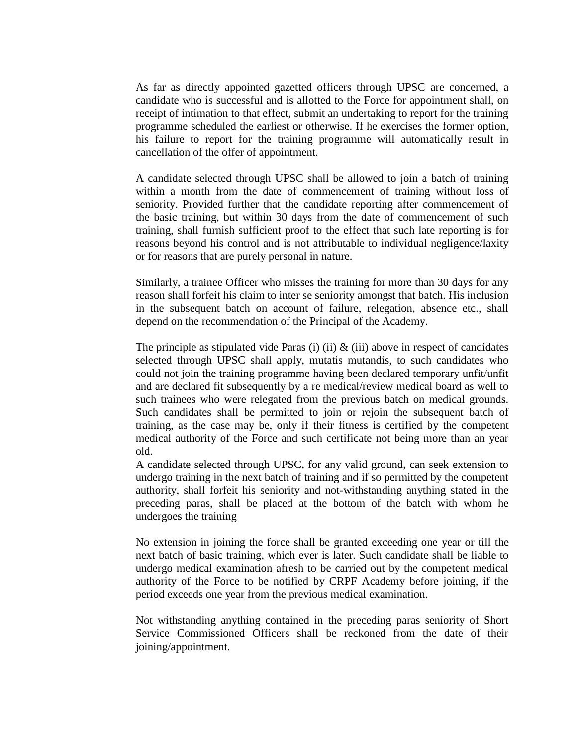As far as directly appointed gazetted officers through UPSC are concerned, a candidate who is successful and is allotted to the Force for appointment shall, on receipt of intimation to that effect, submit an undertaking to report for the training programme scheduled the earliest or otherwise. If he exercises the former option, his failure to report for the training programme will automatically result in cancellation of the offer of appointment.

A candidate selected through UPSC shall be allowed to join a batch of training within a month from the date of commencement of training without loss of seniority. Provided further that the candidate reporting after commencement of the basic training, but within 30 days from the date of commencement of such training, shall furnish sufficient proof to the effect that such late reporting is for reasons beyond his control and is not attributable to individual negligence/laxity or for reasons that are purely personal in nature.

Similarly, a trainee Officer who misses the training for more than 30 days for any reason shall forfeit his claim to inter se seniority amongst that batch. His inclusion in the subsequent batch on account of failure, relegation, absence etc., shall depend on the recommendation of the Principal of the Academy.

The principle as stipulated vide Paras (i) (ii)  $\&$  (iii) above in respect of candidates selected through UPSC shall apply, mutatis mutandis, to such candidates who could not join the training programme having been declared temporary unfit/unfit and are declared fit subsequently by a re medical/review medical board as well to such trainees who were relegated from the previous batch on medical grounds. Such candidates shall be permitted to join or rejoin the subsequent batch of training, as the case may be, only if their fitness is certified by the competent medical authority of the Force and such certificate not being more than an year old.

A candidate selected through UPSC, for any valid ground, can seek extension to undergo training in the next batch of training and if so permitted by the competent authority, shall forfeit his seniority and not-withstanding anything stated in the preceding paras, shall be placed at the bottom of the batch with whom he undergoes the training

No extension in joining the force shall be granted exceeding one year or till the next batch of basic training, which ever is later. Such candidate shall be liable to undergo medical examination afresh to be carried out by the competent medical authority of the Force to be notified by CRPF Academy before joining, if the period exceeds one year from the previous medical examination.

Not withstanding anything contained in the preceding paras seniority of Short Service Commissioned Officers shall be reckoned from the date of their joining/appointment.